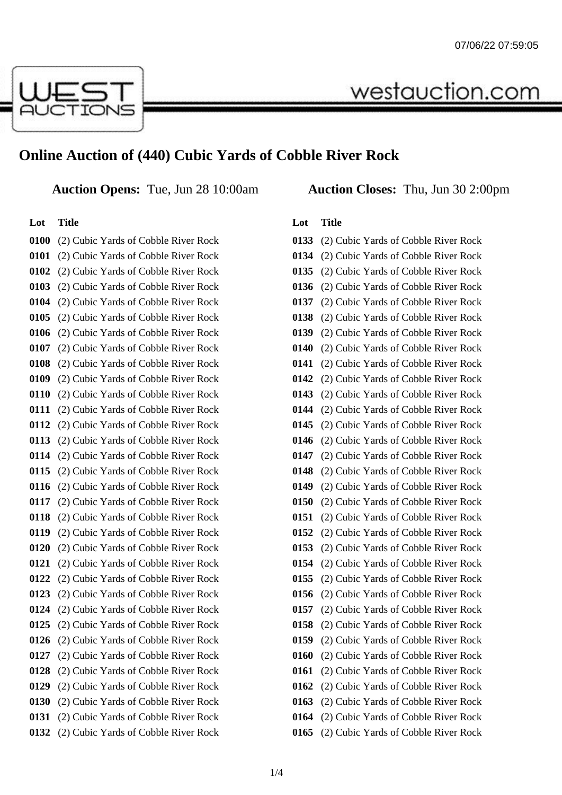

# **Online Auction of (440) Cubic Yards of Cobble River Rock**

**Auction Opens:** Tue, Jun 28 10:00am **Auction Closes:** Thu, Jun 30 2:00pm

#### **Lot Title**

 (2) Cubic Yards of Cobble River Rock (2) Cubic Yards of Cobble River Rock (2) Cubic Yards of Cobble River Rock (2) Cubic Yards of Cobble River Rock (2) Cubic Yards of Cobble River Rock (2) Cubic Yards of Cobble River Rock (2) Cubic Yards of Cobble River Rock (2) Cubic Yards of Cobble River Rock (2) Cubic Yards of Cobble River Rock (2) Cubic Yards of Cobble River Rock (2) Cubic Yards of Cobble River Rock (2) Cubic Yards of Cobble River Rock (2) Cubic Yards of Cobble River Rock (2) Cubic Yards of Cobble River Rock (2) Cubic Yards of Cobble River Rock (2) Cubic Yards of Cobble River Rock (2) Cubic Yards of Cobble River Rock (2) Cubic Yards of Cobble River Rock (2) Cubic Yards of Cobble River Rock (2) Cubic Yards of Cobble River Rock (2) Cubic Yards of Cobble River Rock (2) Cubic Yards of Cobble River Rock (2) Cubic Yards of Cobble River Rock (2) Cubic Yards of Cobble River Rock (2) Cubic Yards of Cobble River Rock (2) Cubic Yards of Cobble River Rock (2) Cubic Yards of Cobble River Rock (2) Cubic Yards of Cobble River Rock (2) Cubic Yards of Cobble River Rock (2) Cubic Yards of Cobble River Rock (2) Cubic Yards of Cobble River Rock (2) Cubic Yards of Cobble River Rock (2) Cubic Yards of Cobble River Rock

westauction.com

### **Lot Title**

| 0133 | (2) Cubic Yards of Cobble River Rock |
|------|--------------------------------------|
| 0134 | (2) Cubic Yards of Cobble River Rock |
| 0135 | (2) Cubic Yards of Cobble River Rock |
| 0136 | (2) Cubic Yards of Cobble River Rock |
| 0137 | (2) Cubic Yards of Cobble River Rock |
| 0138 | (2) Cubic Yards of Cobble River Rock |
| 0139 | (2) Cubic Yards of Cobble River Rock |
| 0140 | (2) Cubic Yards of Cobble River Rock |
| 0141 | (2) Cubic Yards of Cobble River Rock |
| 0142 | (2) Cubic Yards of Cobble River Rock |
| 0143 | (2) Cubic Yards of Cobble River Rock |
| 0144 | (2) Cubic Yards of Cobble River Rock |
| 0145 | (2) Cubic Yards of Cobble River Rock |
| 0146 | (2) Cubic Yards of Cobble River Rock |
| 0147 | (2) Cubic Yards of Cobble River Rock |
| 0148 | (2) Cubic Yards of Cobble River Rock |
| 0149 | (2) Cubic Yards of Cobble River Rock |
| 0150 | (2) Cubic Yards of Cobble River Rock |
| 0151 | (2) Cubic Yards of Cobble River Rock |
| 0152 | (2) Cubic Yards of Cobble River Rock |
| 0153 | (2) Cubic Yards of Cobble River Rock |
| 0154 | (2) Cubic Yards of Cobble River Rock |
| 0155 | (2) Cubic Yards of Cobble River Rock |
| 0156 | (2) Cubic Yards of Cobble River Rock |
| 0157 | (2) Cubic Yards of Cobble River Rock |
| 0158 | (2) Cubic Yards of Cobble River Rock |
| 0159 | (2) Cubic Yards of Cobble River Rock |
| 0160 | (2) Cubic Yards of Cobble River Rock |
| 0161 | (2) Cubic Yards of Cobble River Rock |
| 0162 | (2) Cubic Yards of Cobble River Rock |
| 0163 | (2) Cubic Yards of Cobble River Rock |
| 0164 | (2) Cubic Yards of Cobble River Rock |
| 0165 | (2) Cubic Yards of Cobble River Rock |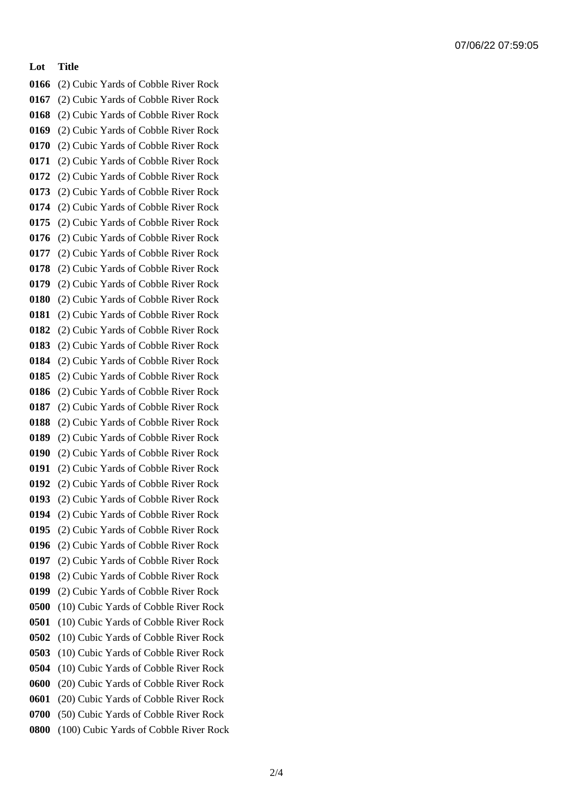### **Lot Title**

 (2) Cubic Yards of Cobble River Rock (2) Cubic Yards of Cobble River Rock (2) Cubic Yards of Cobble River Rock (2) Cubic Yards of Cobble River Rock (2) Cubic Yards of Cobble River Rock (2) Cubic Yards of Cobble River Rock (2) Cubic Yards of Cobble River Rock (2) Cubic Yards of Cobble River Rock (2) Cubic Yards of Cobble River Rock (2) Cubic Yards of Cobble River Rock (2) Cubic Yards of Cobble River Rock (2) Cubic Yards of Cobble River Rock (2) Cubic Yards of Cobble River Rock (2) Cubic Yards of Cobble River Rock (2) Cubic Yards of Cobble River Rock (2) Cubic Yards of Cobble River Rock (2) Cubic Yards of Cobble River Rock (2) Cubic Yards of Cobble River Rock (2) Cubic Yards of Cobble River Rock (2) Cubic Yards of Cobble River Rock (2) Cubic Yards of Cobble River Rock (2) Cubic Yards of Cobble River Rock (2) Cubic Yards of Cobble River Rock (2) Cubic Yards of Cobble River Rock (2) Cubic Yards of Cobble River Rock (2) Cubic Yards of Cobble River Rock (2) Cubic Yards of Cobble River Rock (2) Cubic Yards of Cobble River Rock (2) Cubic Yards of Cobble River Rock (2) Cubic Yards of Cobble River Rock (2) Cubic Yards of Cobble River Rock (2) Cubic Yards of Cobble River Rock (2) Cubic Yards of Cobble River Rock (2) Cubic Yards of Cobble River Rock (10) Cubic Yards of Cobble River Rock (10) Cubic Yards of Cobble River Rock (10) Cubic Yards of Cobble River Rock (10) Cubic Yards of Cobble River Rock (10) Cubic Yards of Cobble River Rock (20) Cubic Yards of Cobble River Rock (20) Cubic Yards of Cobble River Rock (50) Cubic Yards of Cobble River Rock (100) Cubic Yards of Cobble River Rock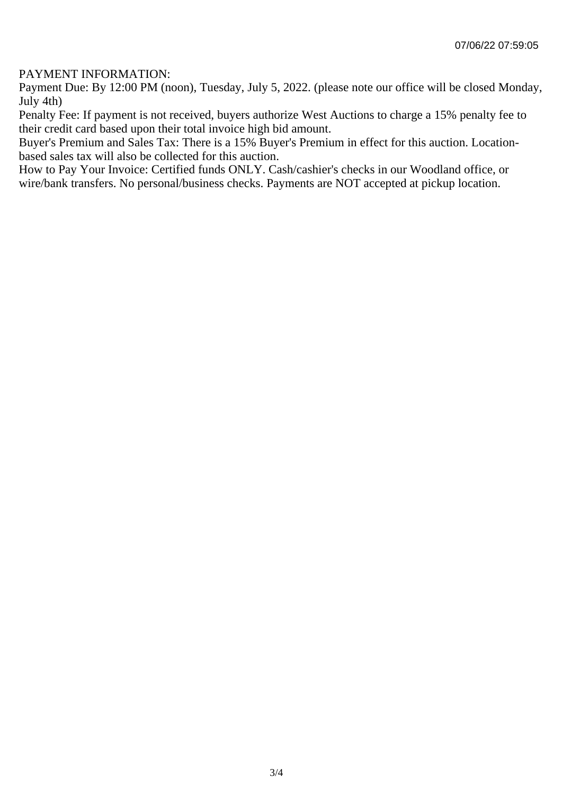## PAYMENT INFORMATION:

Payment Due: By 12:00 PM (noon), Tuesday, July 5, 2022. (please note our office will be closed Monday, July 4th)

Penalty Fee: If payment is not received, buyers authorize West Auctions to charge a 15% penalty fee to their credit card based upon their total invoice high bid amount.

Buyer's Premium and Sales Tax: There is a 15% Buyer's Premium in effect for this auction. Locationbased sales tax will also be collected for this auction.

How to Pay Your Invoice: Certified funds ONLY. Cash/cashier's checks in our Woodland office, or wire/bank transfers. No personal/business checks. Payments are NOT accepted at pickup location.